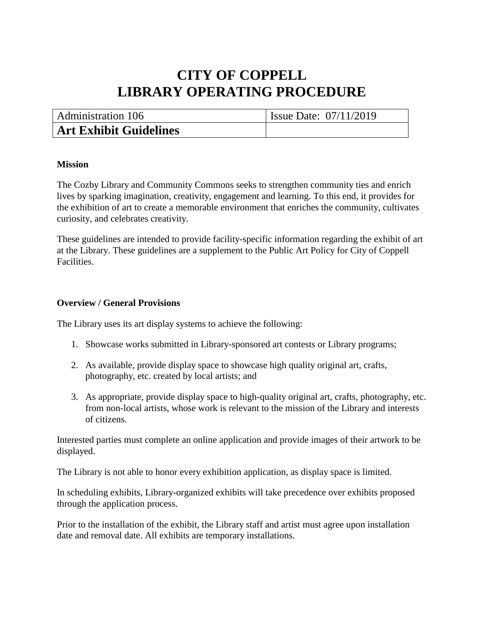# **CITY OF COPPELL LIBRARY OPERATING PROCEDURE**

| Administration 106            | <b>Issue Date: 07/11/2019</b> |
|-------------------------------|-------------------------------|
| <b>Art Exhibit Guidelines</b> |                               |

#### **Mission**

The Cozby Library and Community Commons seeks to strengthen community ties and enrich lives by sparking imagination, creativity, engagement and learning. To this end, it provides for the exhibition of art to create a memorable environment that enriches the community, cultivates curiosity, and celebrates creativity.

These guidelines are intended to provide facility-specific information regarding the exhibit of art at the Library. These guidelines are a supplement to the Public Art Policy for City of Coppell Facilities.

#### **Overview / General Provisions**

The Library uses its art display systems to achieve the following:

- 1. Showcase works submitted in Library-sponsored art contests or Library programs;
- 2. As available, provide display space to showcase high quality original art, crafts, photography, etc. created by local artists; and
- 3. As appropriate, provide display space to high-quality original art, crafts, photography, etc. from non-local artists, whose work is relevant to the mission of the Library and interests of citizens.

Interested parties must complete an online application and provide images of their artwork to be displayed.

The Library is not able to honor every exhibition application, as display space is limited.

In scheduling exhibits, Library-organized exhibits will take precedence over exhibits proposed through the application process.

Prior to the installation of the exhibit, the Library staff and artist must agree upon installation date and removal date. All exhibits are temporary installations.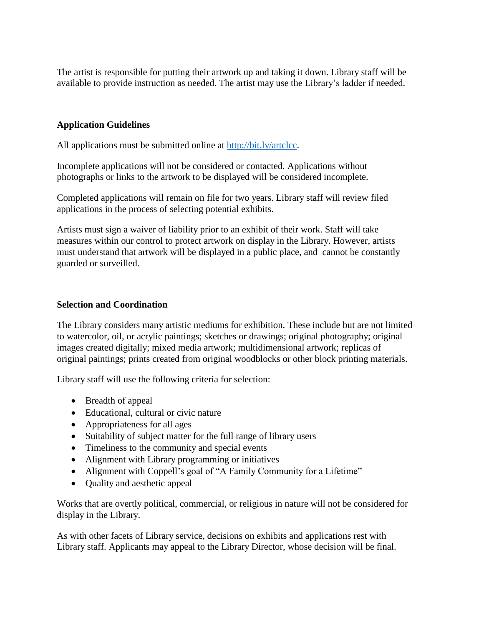The artist is responsible for putting their artwork up and taking it down. Library staff will be available to provide instruction as needed. The artist may use the Library's ladder if needed.

# **Application Guidelines**

All applications must be submitted online at [http://bit.ly/artclcc.](http://bit.ly/artclcc)

Incomplete applications will not be considered or contacted. Applications without photographs or links to the artwork to be displayed will be considered incomplete.

Completed applications will remain on file for two years. Library staff will review filed applications in the process of selecting potential exhibits.

Artists must sign a waiver of liability prior to an exhibit of their work. Staff will take measures within our control to protect artwork on display in the Library. However, artists must understand that artwork will be displayed in a public place, and cannot be constantly guarded or surveilled.

#### **Selection and Coordination**

The Library considers many artistic mediums for exhibition. These include but are not limited to watercolor, oil, or acrylic paintings; sketches or drawings; original photography; original images created digitally; mixed media artwork; multidimensional artwork; replicas of original paintings; prints created from original woodblocks or other block printing materials.

Library staff will use the following criteria for selection:

- Breadth of appeal
- Educational, cultural or civic nature
- Appropriateness for all ages
- Suitability of subject matter for the full range of library users
- Timeliness to the community and special events
- Alignment with Library programming or initiatives
- Alignment with Coppell's goal of "A Family Community for a Lifetime"
- Ouality and aesthetic appeal

Works that are overtly political, commercial, or religious in nature will not be considered for display in the Library.

As with other facets of Library service, decisions on exhibits and applications rest with Library staff. Applicants may appeal to the Library Director, whose decision will be final.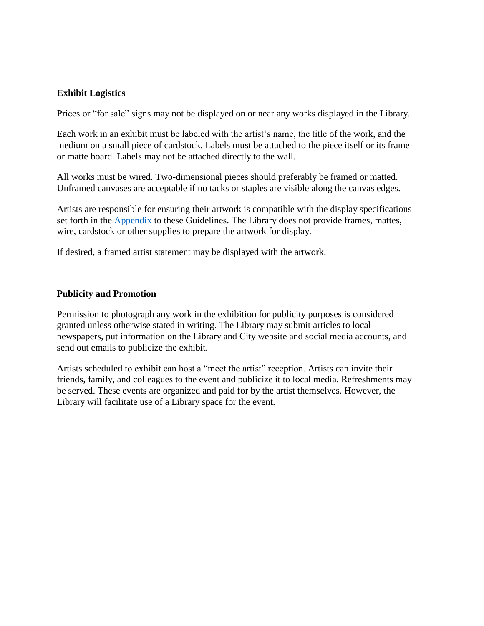### **Exhibit Logistics**

Prices or "for sale" signs may not be displayed on or near any works displayed in the Library.

Each work in an exhibit must be labeled with the artist's name, the title of the work, and the medium on a small piece of cardstock. Labels must be attached to the piece itself or its frame or matte board. Labels may not be attached directly to the wall.

All works must be wired. Two-dimensional pieces should preferably be framed or matted. Unframed canvases are acceptable if no tacks or staples are visible along the canvas edges.

Artists are responsible for ensuring their artwork is compatible with the display specifications set forth in the **Appendix** to these Guidelines. The Library does not provide frames, mattes, wire, cardstock or other supplies to prepare the artwork for display.

If desired, a framed artist statement may be displayed with the artwork.

#### **Publicity and Promotion**

Permission to photograph any work in the exhibition for publicity purposes is considered granted unless otherwise stated in writing. The Library may submit articles to local newspapers, put information on the Library and City website and social media accounts, and send out emails to publicize the exhibit.

<span id="page-2-0"></span>Artists scheduled to exhibit can host a "meet the artist" reception. Artists can invite their friends, family, and colleagues to the event and publicize it to local media. Refreshments may be served. These events are organized and paid for by the artist themselves. However, the Library will facilitate use of a Library space for the event.